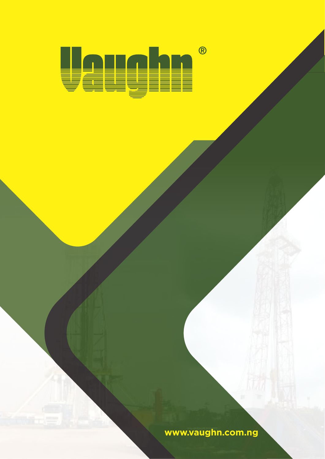$\bigcirc$ I I

**www.vaughn.com.ng**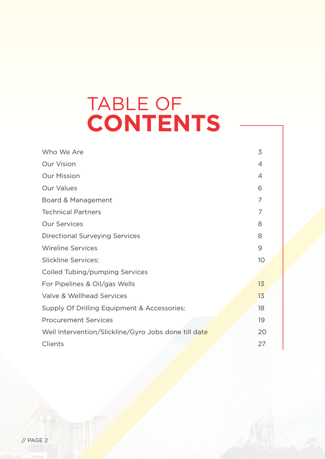# TABLE OF **CONTENTS**

| Who We Are                                           | 3  |
|------------------------------------------------------|----|
| <b>Our Vision</b>                                    | 4  |
| <b>Our Mission</b>                                   | 4  |
| <b>Our Values</b>                                    | 6  |
| Board & Management                                   | 7  |
| <b>Technical Partners</b>                            | 7  |
| <b>Our Services</b>                                  | 8  |
| <b>Directional Surveying Services</b>                | 8  |
| <b>Wireline Services</b>                             | 9  |
| <b>Slickline Services:</b>                           | 10 |
| Coiled Tubing/pumping Services                       |    |
| For Pipelines & Oil/gas Wells                        | 13 |
| Valve & Wellhead Services                            | 13 |
| Supply Of Drilling Equipment & Accessories:          | 18 |
| <b>Procurement Services</b>                          | 19 |
| Well Intervention/Slickline/Gyro Jobs done till date | 20 |
| Clients                                              | 27 |
|                                                      |    |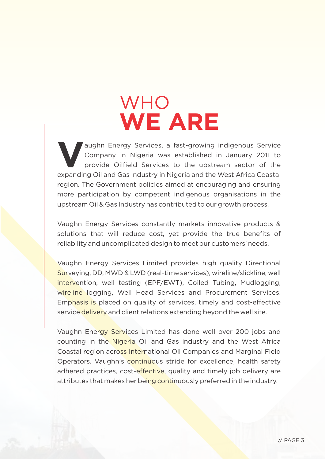# **WHO WE ARE**

aughn Energy Services, a fast-growing indigenous Service<br>**Company in Nigeria was established in January 2011 to** provide Oilfield Services to the upstream sector of the expanding Oil and Gas industry in Nigeria and the West Africa Coastal region. The Government policies aimed at encouraging and ensuring more participation by competent indigenous organisations in the upstream Oil & Gas Industry has contributed to our growth process.

Vaughn Energy Services constantly markets innovative products & solutions that will reduce cost, yet provide the true benefits of reliability and uncomplicated design to meet our customers' needs.

Vaughn Energy Services Limited provides high quality Directional Surveying, DD, MWD & LWD (real-time services), wireline/slickline, well intervention, well testing (EPF/EWT), Coiled Tubing, Mudlogging, wireline logging, Well Head Services and Procurement Services. Emphasis is placed on quality of services, timely and cost-effective service delivery and client relations extending beyond the well site.

Vaughn Energy Services Limited has done well over 200 jobs and counting in the Nigeria Oil and Gas industry and the West Africa Coastal region across International Oil Companies and Marginal Field Operators. Vaughn's continuous stride for excellence, health safety adhered practices, cost-effective, quality and timely job delivery are attributes that makes her being continuously preferred in the industry.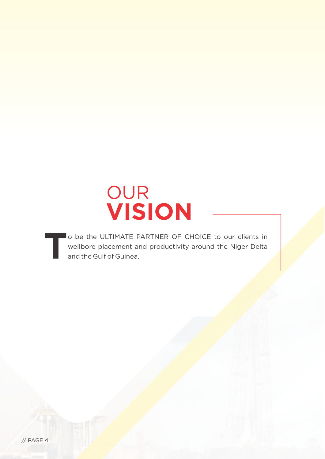

o be the ULTIMATE PARTNER OF CHOICE to our clients in **T**wellbore placement and productivity around the Niger Delta and the Gulf of Guinea.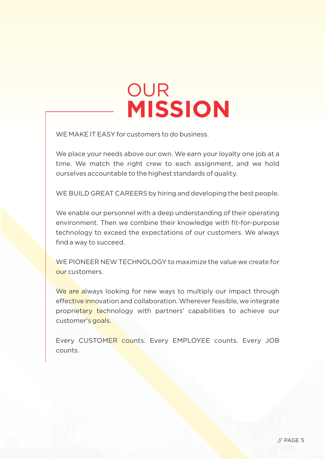# OUR **MISSION**

WE MAKE IT EASY for customers to do business.

We place your needs above our own. We earn your loyalty one job at a time. We match the right crew to each assignment, and we hold ourselves accountable to the highest standards of quality.

WE BUILD GREAT CAREERS by hiring and developing the best people.

We enable our personnel with a deep understanding of their operating environment. Then we combine their knowledge with fit-for-purpose technology to exceed the expectations of our customers. We always find a way to succeed.

WE PIONEER NEW TECHNOLOGY to maximize the value we create for our customers.

We are always looking for new ways to multiply our impact through effective innovation and collaboration. Wherever feasible, we integrate proprietary technology with partners' capabilities to achieve our customer's goals.

Every CUSTOMER counts. Every EMPLOYEE counts. Every JOB counts.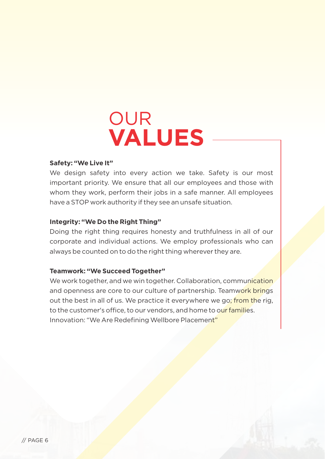

### **Safety: "We Live It"**

We design safety into every action we take. Safety is our most important priority. We ensure that all our employees and those with whom they work, perform their jobs in a safe manner. All employees have a STOP work authority if they see an unsafe situation.

#### **Integrity: "We Do the Right Thing"**

Doing the right thing requires honesty and truthfulness in all of our corporate and individual actions. We employ professionals who can always be counted on to do the right thing wherever they are.

#### **Teamwork: "We Succeed Together"**

We work together, and we win together. Collaboration, communication and openness are core to our culture of partnership. Teamwork brings out the best in all of us. We practice it everywhere we go; from the rig, to the customer's office, to our vendors, and home to our families. Innovation: "We Are Redefining Wellbore Placement"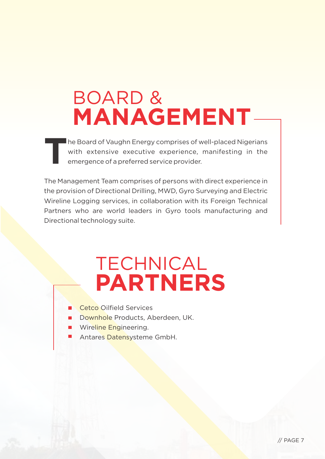# BOARD & **MANAGEMENT**

he Board of Vaughn Energy comprises of well-placed Nigerians **T**with extensive executive experience, manifesting in the emergence of a preferred service provider.

The Management Team comprises of persons with direct experience in the provision of Directional Drilling, MWD, Gyro Surveying and Electric Wireline Logging services, in collaboration with its Foreign Technical Partners who are world leaders in Gyro tools manufacturing and Directional technology suite.

## TECHNICAL **PARTNERS**

- Cetco Oilfield Services
- Downhole Products, Aberdeen, UK.
- Wireline Engineering.
- Antares Datensysteme GmbH.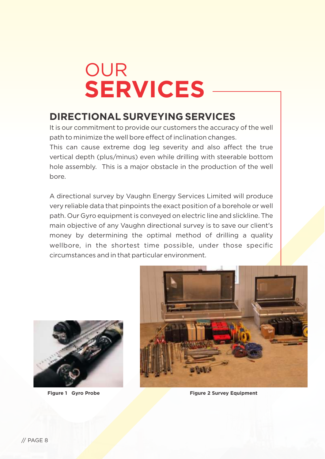# OUR **SERVICES**

## **DIRECTIONAL SURVEYING SERVICES**

It is our commitment to provide our customers the accuracy of the well path to minimize the well bore effect of inclination changes. This can cause extreme dog leg severity and also affect the true

vertical depth (plus/minus) even while drilling with steerable bottom hole assembly. This is a major obstacle in the production of the well bore.

A directional survey by Vaughn Energy Services Limited will produce very reliable data that pinpoints the exact position of a borehole or well path. Our Gyro equipment is conveyed on electric line and slickline. The main objective of any Vaughn directional survey is to save our client's money by determining the optimal method of drilling a quality wellbore, in the shortest time possible, under those specific circumstances and in that particular environment.





**Figure 1 Gyro Probe Figure 2 Survey Equipment**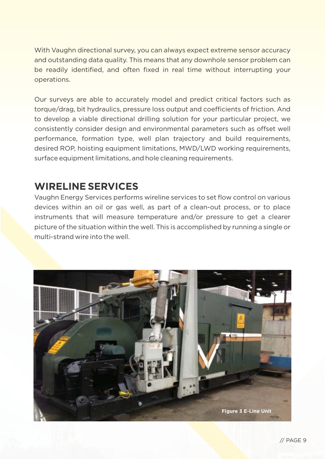With Vaughn directional survey, you can always expect extreme sensor accuracy and outstanding data quality. This means that any downhole sensor problem can be readily identified, and often fixed in real time without interrupting your operations.

Our surveys are able to accurately model and predict critical factors such as torque/drag, bit hydraulics, pressure loss output and coefficients of friction. And to develop a viable directional drilling solution for your particular project, we consistently consider design and environmental parameters such as offset well performance, formation type, well plan trajectory and build requirements, desired ROP, hoisting equipment limitations, MWD/LWD working requirements, surface equipment limitations, and hole cleaning requirements.

## **WIRELINE SERVICES**

Vaughn Energy Services performs wireline services to set flow control on various devices within an oil or gas well, as part of a clean-out process, or to place instruments that will measure temperature and/or pressure to get a clearer picture of the situation within the well. This is accomplished by running a single or multi-strand wire into the well.

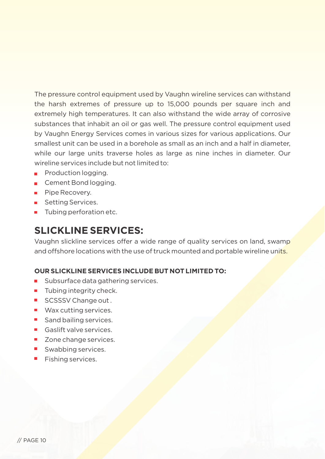The pressure control equipment used by Vaughn wireline services can withstand the harsh extremes of pressure up to 15,000 pounds per square inch and extremely high temperatures. It can also withstand the wide array of corrosive substances that inhabit an oil or gas well. The pressure control equipment used by Vaughn Energy Services comes in various sizes for various applications. Our smallest unit can be used in a borehole as small as an inch and a half in diameter, while our large units traverse holes as large as nine inches in diameter. Our wireline services include but not limited to:

- **Production logging.**
- Cement Bond logging.
- **Pipe Recovery.**
- Setting Services.
- **Tubing perforation etc.**

## **SLICKLINE SERVICES:**

Vaughn slickline services offer a wide range of quality services on land, swamp and offshore locations with the use of truck mounted and portable wireline units.

## **OUR SLICKLINE SERVICES INCLUDE BUT NOT LIMITED TO:**

- $\blacksquare$ Subsurface data gathering services.
- $\blacksquare$  Tubing integrity check.
- SCSSSV Change out .
- Wax cutting services.
- Sand bailing services.
- Gaslift valve services.
- Zone change services.
- Swabbing services.
- **Fishing services.**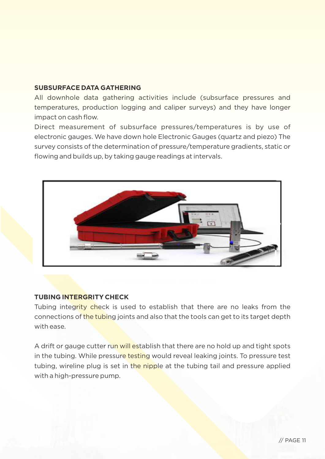### **SUBSURFACE DATA GATHERING**

All downhole data gathering activities include (subsurface pressures and temperatures, production logging and caliper surveys) and they have longer impact on cash flow.

Direct measurement of subsurface pressures/temperatures is by use of electronic gauges. We have down hole Electronic Gauges (quartz and piezo) The survey consists of the determination of pressure/temperature gradients, static or flowing and builds up, by taking gauge readings at intervals.



## **TUBING INTERGRITY CHECK**

Tubing integrity check is used to establish that there are no leaks from the connections of the tubing joints and also that the tools can get to its target depth with ease.

A drift or gauge cutter run will establish that there are no hold up and tight spots in the tubing. While pressure testing would reveal leaking joints. To pressure test tubing, wireline plug is set in the nipple at the tubing tail and pressure applied with a high-pressure pump.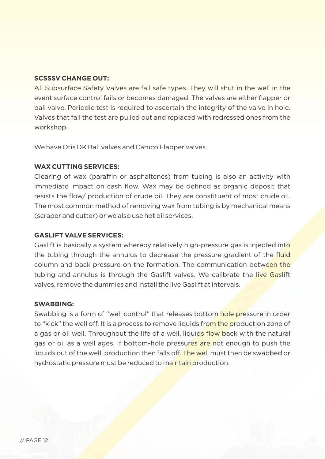## **SCSSSV CHANGE OUT:**

All Subsurface Safety Valves are fail safe types. They will shut in the well in the event surface control fails or becomes damaged. The valves are either flapper or ball valve. Periodic test is required to ascertain the integrity of the valve in hole. Valves that fail the test are pulled out and replaced with redressed ones from the workshop.

We have Otis DK Ball valves and Camco Flapper valves.

## **WAX CUTTING SERVICES:**

Clearing of wax (paraffin or asphaltenes) from tubing is also an activity with immediate impact on cash flow. Wax may be defined as organic deposit that resists the flow/ production of crude oil. They are constituent of most crude oil. The most common method of removing wax from tubing is by mechanical means (scraper and cutter) or we also use hot oil services.

## **GASLIFT VALVE SERVICES:**

Gaslift is basically a system whereby relatively high-pressure gas is injected into the tubing through the annulus to decrease the pressure gradient of the fluid column and back pressure on the formation. The communication between the tubing and annulus is through the Gaslift valves. We calibrate the live Gaslift valves, remove the dummies and install the live Gaslift at intervals.

## **SWABBING:**

Swabbing is a form of "well control" that releases bottom hole pressure in order to "kick" the well off. It is a process to remove liquids from the production zone of a gas or oil well. Throughout the life of a well, liquids flow back with the natural gas or oil as a well ages. If bottom-hole pressures are not enough to push the liquids out of the well, production then falls off. The well must then be swabbed or hydrostatic pressure must be reduced to maintain production.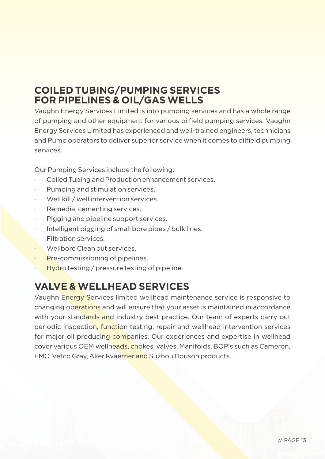## **COILED TUBING/PUMPING SERVICES FOR PIPELINES & OIL/GAS WELLS**

Vaughn Energy Services Limited is into pumping services and has a whole range of pumping and other equipment for various oilfield pumping services. Vaughn Energy Services Limited has experienced and well-trained engineers, technicians and Pump operators to deliver superior service when it comes to oilfield pumping services.

Our Pumping Services include the following:

- Coiled Tubing and Production enhancement services.
- Pumping and stimulation services.
- Well kill / well intervention services.
- Remedial cementing services.
- Pigging and pipeline support services.
- Intelligent pigging of small bore pipes / bulk lines.
- Filtration services.
- Wellbore Clean out services
- Pre-commissioning of pipelines.
- Hydro testing / pressure testing of pipeline.

## **VALVE & WELLHEAD SERVICES**

Vaughn Energy Services limited wellhead maintenance service is responsive to changing operations and will ensure that your asset is maintained in accordance with your standards and industry best practice. Our team of experts carry out periodic inspection, function testing, repair and wellhead intervention services for major oil producing companies. Our experiences and expertise in wellhead cover various OEM wellheads, chokes, valves, Manifolds, BOP's such as Cameron, FMC, Vetco Gray, Aker Kvaerner and Suzhou Douson products.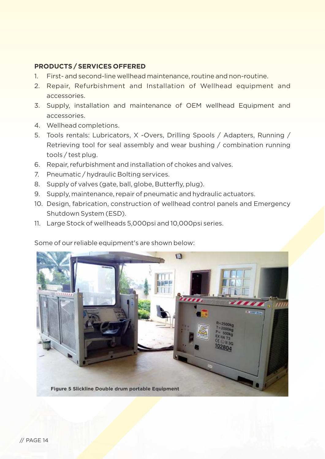## **PRODUCTS / SERVICES OFFERED**

- 1. First- and second-line wellhead maintenance, routine and non-routine.
- 2. Repair, Refurbishment and Installation of Wellhead equipment and accessories.
- 3. Supply, installation and maintenance of OEM wellhead Equipment and accessories.
- 4. Wellhead completions.
- 5. Tools rentals: Lubricators, X -Overs, Drilling Spools / Adapters, Running / Retrieving tool for seal assembly and wear bushing / combination running tools / test plug.
- 6. Repair, refurbishment and installation of chokes and valves.
- 7. Pneumatic / hydraulic Bolting services.
- 8. Supply of valves (gate, ball, globe, Butterfly, plug).
- 9. Supply, maintenance, repair of pneumatic and hydraulic actuators.
- 10. Design, fabrication, construction of wellhead control panels and Emergency Shutdown System (ESD).
- 11. Large Stock of wellheads 5,000psi and 10,000psi series.

Some of our reliable equipment's are shown below:

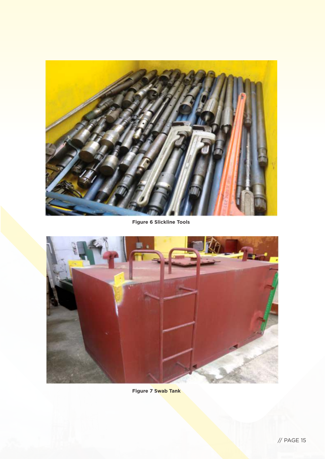

**Figure 6 Slickline Tools**



**Figure 7 Swab Tank**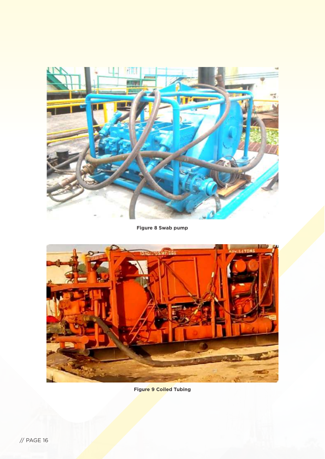

**Figure 8 Swab pump**



**Figure 9 Coiled Tubing**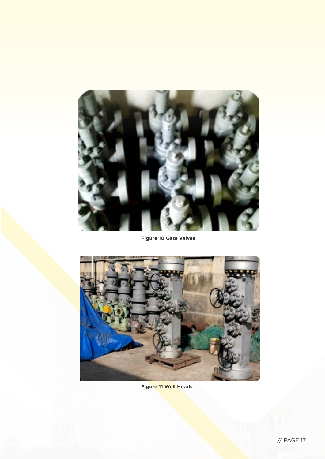

**Figure 10 Gate Valves**



**Figure 11 Well Heads**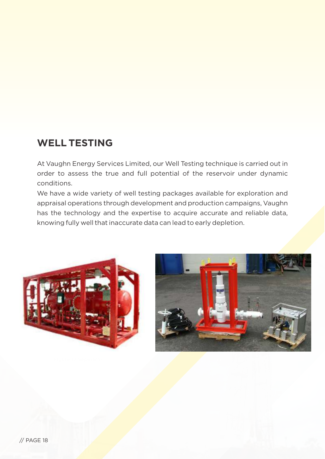## **WELL TESTING**

At Vaughn Energy Services Limited, our Well Testing technique is carried out in order to assess the true and full potential of the reservoir under dynamic conditions.

We have a wide variety of well testing packages available for exploration and appraisal operations through development and production campaigns, Vaughn has the technology and the expertise to acquire accurate and reliable data, knowing fully well that inaccurate data can lead to early depletion.

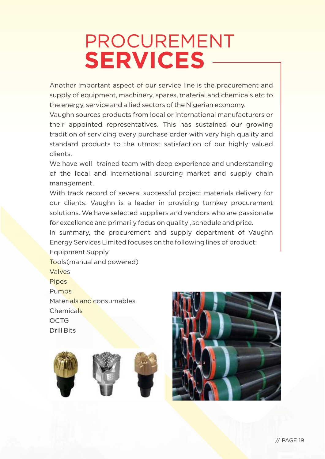# PROCUREMENT **SERVICES**

Another important aspect of our service line is the procurement and supply of equipment, machinery, spares, material and chemicals etc to the energy, service and allied sectors of the Nigerian economy.

Vaughn sources products from local or international manufacturers or their appointed representatives. This has sustained our growing tradition of servicing every purchase order with very high quality and standard products to the utmost satisfaction of our highly valued clients.

We have well trained team with deep experience and understanding of the local and international sourcing market and supply chain management.

With track record of several successful project materials delivery for our clients. Vaughn is a leader in providing turnkey procurement solutions. We have selected suppliers and vendors who are passionate for excellence and primarily focus on quality , schedule and price.

In summary, the procurement and supply department of Vaughn Energy Services Limited focuses on the following lines of product:

Equipment Supply Tools(manual and powered) Valves **Pipes** Pumps Materials and consumables Chemicals OCTG Drill Bits



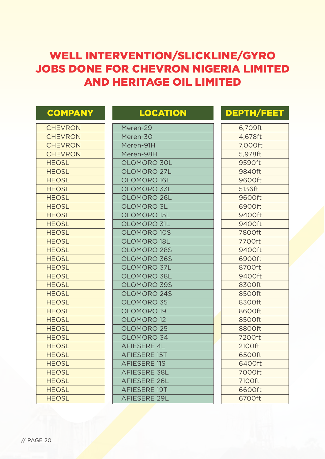## WELL INTERVENTION/SLICKLINE/GYRO JOBS DONE FOR CHEVRON NIGERIA LIMITED AND HERITAGE OIL LIMITED

| <b>COMPANY</b> | <b>LOCATION</b>       | <b>DEPTH/FEET</b> |
|----------------|-----------------------|-------------------|
| <b>CHEVRON</b> | Meren-29              | 6,709ft           |
| <b>CHEVRON</b> | Meren-30              | 4,678ft           |
| <b>CHEVRON</b> | Meren-91H             | 7,000ft           |
| <b>CHEVRON</b> | Meren-98H             | 5,978ft           |
| <b>HEOSL</b>   | OLOMORO 30L           | 9590ft            |
| <b>HEOSL</b>   | OLOMORO 27L           | 9840ft            |
| <b>HEOSL</b>   | <b>OLOMORO 16L</b>    | 9600ft            |
| <b>HEOSL</b>   | OLOMORO 33L           | 5136ft            |
| <b>HEOSL</b>   | OLOMORO 26L           | 9600ft            |
| <b>HEOSL</b>   | <b>OLOMORO 3L</b>     | 6900ft            |
| <b>HEOSL</b>   | <b>OLOMORO 15L</b>    | 9400ft            |
| <b>HEOSL</b>   | <b>OLOMORO 31L</b>    | 9400ft            |
| <b>HEOSL</b>   | <b>OLOMORO 10S</b>    | 7800ft            |
| <b>HEOSL</b>   | <b>OLOMORO 18L</b>    | 7700ft            |
| <b>HEOSL</b>   | <b>OLOMORO 28S</b>    | 9400ft            |
| <b>HEOSL</b>   | OLOMORO 36S           | 6900ft            |
| <b>HEOSL</b>   | <b>OLOMORO 37L</b>    | 8700ft            |
| <b>HEOSL</b>   | OLOMORO 38L           | 9400ft            |
| <b>HEOSL</b>   | <b>OLOMORO 39S</b>    | 8300ft            |
| <b>HEOSL</b>   | <b>OLOMORO 24S</b>    | 8500ft            |
| <b>HEOSL</b>   | OLOMORO 35            | 8300ft            |
| <b>HEOSL</b>   | OLOMORO 19            | 8600ft            |
| <b>HEOSL</b>   | <b>OLOMORO 12</b>     | 8500ft            |
| <b>HEOSL</b>   | OLOMORO <sub>25</sub> | 8800ft            |
| <b>HEOSL</b>   | OLOMORO 34            | 7200ft            |
| <b>HEOSL</b>   | <b>AFIESERE 4L</b>    | 2100ft            |
| <b>HEOSL</b>   | <b>AFIESERE 15T</b>   | 6500ft            |
| <b>HEOSL</b>   | <b>AFIESERE 11S</b>   | 6400ft            |
| <b>HEOSL</b>   | <b>AFIESERE 38L</b>   | 7000ft            |
| <b>HEOSL</b>   | <b>AFIESERE 26L</b>   | 7100ft            |
| <b>HEOSL</b>   | <b>AFIESERE 19T</b>   | 6600ft            |
| <b>HEOSL</b>   | <b>AFIESERE 29L</b>   | 6700ft            |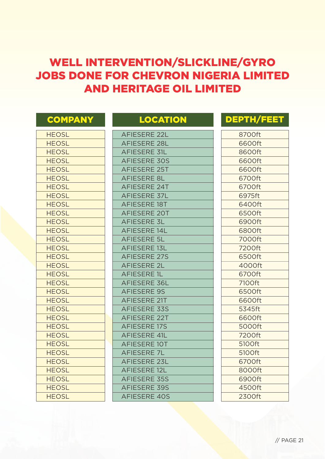## WELL INTERVENTION/SLICKLINE/GYRO JOBS DONE FOR CHEVRON NIGERIA LIMITED AND HERITAGE OIL LIMITED

| <b>COMPANY</b> | <b>LOCATION</b>     | <b>DEPTH/FEET</b> |
|----------------|---------------------|-------------------|
| <b>HEOSL</b>   | <b>AFIESERE 22L</b> | 8700ft            |
| <b>HEOSL</b>   | <b>AFIESERE 28L</b> | 6600ft            |
| <b>HEOSL</b>   | <b>AFIESERE 31L</b> | 8600ft            |
| <b>HEOSL</b>   | <b>AFIESERE 30S</b> | 6600ft            |
| <b>HEOSL</b>   | <b>AFIESERE 25T</b> | 6600ft            |
| <b>HEOSL</b>   | <b>AFIESERE 8L</b>  | 6700ft            |
| <b>HEOSL</b>   | <b>AFIESERE 24T</b> | 6700ft            |
| <b>HEOSL</b>   | AFIESERE 37L        | 6975ft            |
| <b>HEOSL</b>   | <b>AFIESERE 18T</b> | 6400ft            |
| <b>HEOSL</b>   | <b>AFIESERE 20T</b> | 6500ft            |
| <b>HEOSL</b>   | <b>AFIESERE 3L</b>  | 6900ft            |
| <b>HEOSL</b>   | <b>AFIESERE 14L</b> | 6800ft            |
| <b>HEOSL</b>   | <b>AFIESERE 5L</b>  | 7000ft            |
| <b>HEOSL</b>   | <b>AFIESERE 13L</b> | 7200ft            |
| <b>HEOSL</b>   | <b>AFIESERE 27S</b> | 6500ft            |
| <b>HEOSL</b>   | <b>AFIESERE 2L</b>  | 4000ft            |
| <b>HEOSL</b>   | <b>AFIESERE 1L</b>  | 6700ft            |
| <b>HEOSL</b>   | AFIESERE 36L        | 7100ft            |
| <b>HEOSL</b>   | <b>AFIESERE 9S</b>  | 6500ft            |
| <b>HEOSL</b>   | <b>AFIESERE 21T</b> | 6600ft            |
| <b>HEOSL</b>   | AFIESERE 33S        | 5345ft            |
| <b>HEOSL</b>   | <b>AFIESERE 22T</b> | 6600ft            |
| <b>HEOSL</b>   | <b>AFIESERE 17S</b> | 5000ft            |
| <b>HEOSL</b>   | <b>AFIESERE 41L</b> | 7200ft            |
| <b>HEOSL</b>   | <b>AFIESERE 10T</b> | 5100ft            |
| <b>HEOSL</b>   | <b>AFIESERE 7L</b>  | 5100ft            |
| <b>HEOSL</b>   | <b>AFIESERE 23L</b> | 6700ft            |
| <b>HEOSL</b>   | <b>AFIESERE 12L</b> | 8000ft            |
| <b>HEOSL</b>   | <b>AFIESERE 35S</b> | 6900ft            |
| <b>HEOSL</b>   | <b>AFIESERE 39S</b> | 4500ft            |
| <b>HEOSL</b>   | <b>AFIESERE 40S</b> | 2300ft            |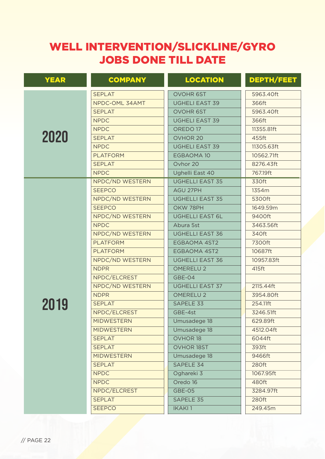| <b>YEAR</b> | <b>COMPANY</b>    | <b>LOCATION</b>        | <b>DEPTH/FEET</b> |
|-------------|-------------------|------------------------|-------------------|
|             | <b>SEPLAT</b>     | OVOHR 6ST              | 5963.40ft         |
|             | NPDC-OML 34AMT    | <b>UGHELI EAST 39</b>  | 366ft             |
|             | <b>SEPLAT</b>     | <b>OVOHR 6ST</b>       | 5963.40ft         |
|             | <b>NPDC</b>       | <b>UGHELI EAST 39</b>  | 366ft             |
|             | <b>NPDC</b>       | OREDO <sub>17</sub>    | 11355.81ft        |
| 2020        | <b>SEPLAT</b>     | OVHOR 20               | 455ft             |
|             | <b>NPDC</b>       | <b>UGHELI EAST 39</b>  | 11305.63ft        |
|             | <b>PLATFORM</b>   | EGBAOMA 10             | 10562.71ft        |
|             | <b>SEPLAT</b>     | Ovhor 20               | 8276.43ft         |
|             | <b>NPDC</b>       | Ughelli East 40        | 767.19ft          |
|             | NPDC/ND WESTERN   | <b>UGHELLI EAST 35</b> | 330ft             |
|             | <b>SEEPCO</b>     | AGU 27PH               | 1354m             |
|             | NPDC/ND WESTERN   | <b>UGHELLI EAST 35</b> | 5300ft            |
|             | <b>SEEPCO</b>     | OKW 78PH               | 1649.59m          |
|             | NPDC/ND WESTERN   | <b>UGHELLI EAST 6L</b> | 9400ft            |
|             | <b>NPDC</b>       | Abura 5st              | 3463.56ft         |
|             | NPDC/ND WESTERN   | <b>UGHELLI EAST 36</b> | 340ft             |
|             | <b>PLATFORM</b>   | EGBAOMA 4ST2           | 7300ft            |
|             | <b>PLATFORM</b>   | EGBAOMA 4ST2           | 10687ft           |
|             | NPDC/ND WESTERN   | <b>UGHELLI EAST 36</b> | 10957.83ft        |
|             | <b>NDPR</b>       | <b>OMERELU2</b>        | 415ft             |
|             | NPDC/ELCREST      | GBE-04                 |                   |
|             | NPDC/ND WESTERN   | <b>UGHELLI EAST 37</b> | 2115.44ft         |
|             | <b>NDPR</b>       | <b>OMERELU2</b>        | 3954.80ft         |
| 2019        | <b>SEPLAT</b>     | SAPELE 33              | 254.11ft          |
|             | NPDC/ELCREST      | GBE-4st                | 3246.51ft         |
|             | <b>MIDWESTERN</b> | Umusadege 18           | 629.89ft          |
|             | <b>MIDWESTERN</b> | Umusadege 18           | 4512.04ft         |
|             | <b>SEPLAT</b>     | OVHOR 18               | 6044ft            |
|             | <b>SEPLAT</b>     | <b>OVHOR 18ST</b>      | 393ft             |
|             | <b>MIDWESTERN</b> | Umusadege 18           | 9466ft            |
|             | <b>SEPLAT</b>     | SAPELE 34              | 280ft             |
|             | <b>NPDC</b>       | Oghareki 3             | 1067.95ft         |
|             | <b>NPDC</b>       | Oredo 16               | 480ft             |
|             | NPDC/ELCREST      | GBE-05                 | 3284.97ft         |
|             | <b>SEPLAT</b>     | SAPELE 35              | 280ft             |
|             | <b>SEEPCO</b>     | <b>IKAKI1</b>          | 249.45m           |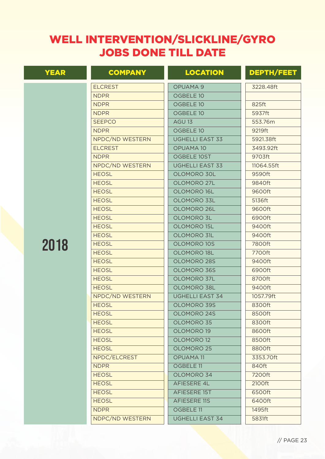| <b>YEAR</b> | <b>COMPANY</b>  | <b>LOCATION</b>        | <b>DEPTH/FEET</b> |
|-------------|-----------------|------------------------|-------------------|
|             | <b>ELCREST</b>  | OPUAMA 9               | 3228.48ft         |
|             | <b>NDPR</b>     | OGBELE 10              |                   |
|             | <b>NDPR</b>     | OGBELE 10              | 825ft             |
|             | <b>NDPR</b>     | OGBELE 10              | 5937ft            |
|             | <b>SEEPCO</b>   | AGU 13                 | 553.76m           |
|             | <b>NDPR</b>     | OGBELE 10              | 9219ft            |
|             | NPDC/ND WESTERN | <b>UGHELLI EAST 33</b> | 5921.38ft         |
|             | <b>ELCREST</b>  | <b>OPUAMA 10</b>       | 3493.92ft         |
|             | <b>NDPR</b>     | OGBELE 10ST            | 9703ft            |
|             | NPDC/ND WESTERN | <b>UGHELLI EAST 33</b> | 11064.55ft        |
|             | <b>HEOSL</b>    | OLOMORO 30L            | 9590ft            |
|             | <b>HEOSL</b>    | OLOMORO 27L            | 9840ft            |
|             | <b>HEOSL</b>    | OLOMORO 16L            | 9600ft            |
|             | <b>HEOSL</b>    | OLOMORO 33L            | 5136ft            |
|             | <b>HEOSL</b>    | OLOMORO 26L            | 9600ft            |
|             | <b>HEOSL</b>    | OLOMORO 3L             | 6900ft            |
|             | <b>HEOSL</b>    | OLOMORO 15L            | 9400ft            |
|             | <b>HEOSL</b>    | OLOMORO 31L            | 9400ft            |
| 2018        | <b>HEOSL</b>    | OLOMORO 10S            | 7800ft            |
|             | <b>HEOSL</b>    | OLOMORO 18L            | 7700ft            |
|             | <b>HEOSL</b>    | OLOMORO 28S            | 9400ft            |
|             | <b>HEOSL</b>    | OLOMORO 36S            | 6900ft            |
|             | <b>HEOSL</b>    | OLOMORO 37L            | 8700ft            |
|             | <b>HEOSL</b>    | OLOMORO 38L            | 9400ft            |
|             | NPDC/ND WESTERN | <b>UGHELLI EAST 34</b> | 1057.79ft         |
|             | <b>HEOSL</b>    | OLOMORO 39S            | 8300ft            |
|             | <b>HEOSL</b>    | OLOMORO 24S            | 8500ft            |
|             | <b>HEOSL</b>    | OLOMORO 35             | 8300ft            |
|             | <b>HEOSL</b>    | OLOMORO 19             | 8600ft            |
|             | <b>HEOSL</b>    | OLOMORO 12             | 8500ft            |
|             | <b>HEOSL</b>    | OLOMORO 25             | 8800ft            |
|             | NPDC/ELCREST    | <b>OPUAMA11</b>        | 3353.70ft         |
|             | <b>NDPR</b>     | OGBELE 11              | 840ft             |
|             | <b>HEOSL</b>    | OLOMORO 34             | 7200ft            |
|             | <b>HEOSL</b>    | AFIESERE 4L            | 2100ft            |
|             | <b>HEOSL</b>    | AFIESERE 15T           | 6500ft            |
|             | <b>HEOSL</b>    | <b>AFIESERE 11S</b>    | 6400ft            |
|             | <b>NDPR</b>     | OGBELE 11              | 1495ft            |
|             | NDPC/ND WESTERN | <b>UGHELLI EAST 34</b> | 5831ft            |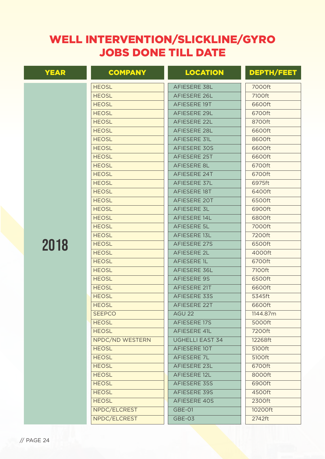| <b>YEAR</b> | <b>COMPANY</b>  | <b>LOCATION</b>        | <b>DEPTH/FEET</b> |
|-------------|-----------------|------------------------|-------------------|
|             | <b>HEOSL</b>    | AFIESERE 38L           | 7000ft            |
|             | <b>HEOSL</b>    | <b>AFIESERE 26L</b>    | 7100ft            |
|             | <b>HEOSL</b>    | AFIESERE 19T           | 6600ft            |
|             | <b>HEOSL</b>    | <b>AFIESERE 29L</b>    | 6700ft            |
|             | <b>HEOSL</b>    | <b>AFIESERE 22L</b>    | 8700ft            |
|             | <b>HEOSL</b>    | <b>AFIESERE 28L</b>    | 6600ft            |
|             | <b>HEOSL</b>    | AFIESERE 31L           | 8600ft            |
|             | <b>HEOSL</b>    | <b>AFIESERE 30S</b>    | 6600ft            |
|             | <b>HEOSL</b>    | <b>AFIESERE 25T</b>    | 6600ft            |
|             | <b>HEOSL</b>    | AFIESERE 8L            | 6700ft            |
|             | <b>HEOSL</b>    | AFIESERE 24T           | 6700ft            |
|             | <b>HEOSL</b>    | AFIESERE 37L           | 6975ft            |
|             | <b>HEOSL</b>    | AFIESERE 18T           | 6400ft            |
|             | <b>HEOSL</b>    | AFIESERE 20T           | 6500ft            |
|             | <b>HEOSL</b>    | <b>AFIESERE 3L</b>     | 6900ft            |
|             | <b>HEOSL</b>    | AFIESERE 14L           | 6800ft            |
|             | <b>HEOSL</b>    | <b>AFIESERE 5L</b>     | 7000ft            |
|             | <b>HEOSL</b>    | AFIESERE 13L           | 7200ft            |
| 2018        | <b>HEOSL</b>    | <b>AFIESERE 27S</b>    | 6500ft            |
|             | <b>HEOSL</b>    | <b>AFIESERE 2L</b>     | 4000ft            |
|             | <b>HEOSL</b>    | <b>AFIESERE 1L</b>     | 6700ft            |
|             | <b>HEOSL</b>    | <b>AFIESERE 36L</b>    | 7100ft            |
|             | <b>HEOSL</b>    | <b>AFIESERE 9S</b>     | 6500ft            |
|             | <b>HEOSL</b>    | AFIESERE 21T           | 6600ft            |
|             | <b>HEOSL</b>    | <b>AFIESERE 33S</b>    | 5345ft            |
|             | <b>HEOSL</b>    | <b>AFIESERE 22T</b>    | 6600ft            |
|             | <b>SEEPCO</b>   | AGU 22                 | 1144.87m          |
|             | <b>HEOSL</b>    | AFIESERE 17S           | 5000ft            |
|             | <b>HEOSL</b>    | AFIESERE 41L           | 7200ft            |
|             | NPDC/ND WESTERN | <b>UGHELLI EAST 34</b> | 12268ft           |
|             | <b>HEOSL</b>    | AFIESERE 10T           | 5100ft            |
|             | <b>HEOSL</b>    | AFIESERE 7L            | 5100ft            |
|             | <b>HEOSL</b>    | AFIESERE 23L           | 6700ft            |
|             | <b>HEOSL</b>    | AFIESERE 12L           | 8000ft            |
|             | <b>HEOSL</b>    | AFIESERE 35S           | 6900ft            |
|             | <b>HEOSL</b>    | AFIESERE 39S           | 4500ft            |
|             | <b>HEOSL</b>    | AFIESERE 40S           | 2300ft            |
|             | NPDC/ELCREST    | GBE-01                 | 10200ft           |
|             | NPDC/ELCREST    | GBE-03                 | 2742ft            |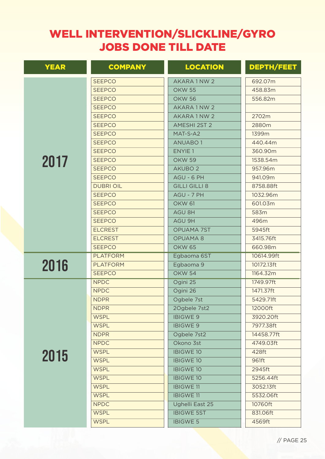| <b>YEAR</b> | <b>COMPANY</b>   | <b>LOCATION</b>      | <b>DEPTH/FEET</b> |
|-------------|------------------|----------------------|-------------------|
|             | <b>SEEPCO</b>    | AKARA 1 NW 2         | 692.07m           |
|             | <b>SEEPCO</b>    | <b>OKW 55</b>        | 458.83m           |
|             | <b>SEEPCO</b>    | <b>OKW 56</b>        | 556.82m           |
|             | <b>SEEPCO</b>    | AKARA 1 NW 2         |                   |
|             | <b>SEEPCO</b>    | AKARA 1 NW 2         | 2702m             |
|             | <b>SEEPCO</b>    | <b>AMESHI 2ST 2</b>  | 2880m             |
|             | <b>SEEPCO</b>    | MAT-S-A2             | 1399m             |
|             | <b>SEEPCO</b>    | <b>ANUABO1</b>       | 440.44m           |
|             | <b>SEEPCO</b>    | ENYIE <sub>1</sub>   | 360.90m           |
| 2017        | <b>SEEPCO</b>    | <b>OKW 59</b>        | 1538.54m          |
|             | <b>SEEPCO</b>    | AKUBO <sub>2</sub>   | 957.96m           |
|             | <b>SEEPCO</b>    | AGU - 6 PH           | 941.09m           |
|             | <b>DUBRI OIL</b> | <b>GILLI GILLI 8</b> | 8758.88ft         |
|             | <b>SEEPCO</b>    | AGU - 7 PH           | 1032.96m          |
|             | <b>SEEPCO</b>    | <b>OKW 61</b>        | 601.03m           |
|             | <b>SEEPCO</b>    | AGU 8H               | 583m              |
|             | <b>SEEPCO</b>    | AGU 9H               | 496m              |
|             | <b>ELCREST</b>   | <b>OPUAMA 7ST</b>    | 5945ft            |
|             | <b>ELCREST</b>   | <b>OPUAMA8</b>       | 3415.76ft         |
|             | <b>SEEPCO</b>    | <b>OKW 65</b>        | 660.98m           |
|             | <b>PLATFORM</b>  | Egbaoma 6ST          | 10614.99ft        |
| 2016        | <b>PLATFORM</b>  | Egbaoma 9            | 10172.13ft        |
|             | <b>SEEPCO</b>    | <b>OKW 54</b>        | 1164.32m          |
|             | <b>NPDC</b>      | Ogini 25             | 1749.97ft         |
|             | <b>NPDC</b>      | Ogini 26             | 1471.37ft         |
|             | <b>NDPR</b>      | Ogbele 7st           | 5429.71ft         |
|             | <b>NDPR</b>      | 2Ogbele 7st2         | 12000ft           |
|             | <b>WSPL</b>      | <b>IBIGWE 9</b>      | 3920.20ft         |
|             | <b>WSPL</b>      | <b>IBIGWE 9</b>      | 7977.38ft         |
|             | <b>NDPR</b>      | Ogbele 7st2          | 14458.77ft        |
|             | <b>NPDC</b>      | Okono 3st            | 4749.03ft         |
| 2015        | <b>WSPL</b>      | <b>IBIGWE 10</b>     | 428ft             |
|             | <b>WSPL</b>      | <b>IBIGWE 10</b>     | 961ft             |
|             | <b>WSPL</b>      | <b>IBIGWE 10</b>     | 2945ft            |
|             | <b>WSPL</b>      | <b>IBIGWE 10</b>     | 5256.44ft         |
|             | <b>WSPL</b>      | <b>IBIGWE 11</b>     | 3052.13ft         |
|             | <b>WSPL</b>      | <b>IBIGWE11</b>      | 5532.06ft         |
|             | <b>NPDC</b>      | Ughelli East 25      | 10760ft           |
|             | <b>WSPL</b>      | <b>IBIGWE 5ST</b>    | 831.06ft          |
|             | <b>WSPL</b>      | <b>IBIGWE 5</b>      | 4569ft            |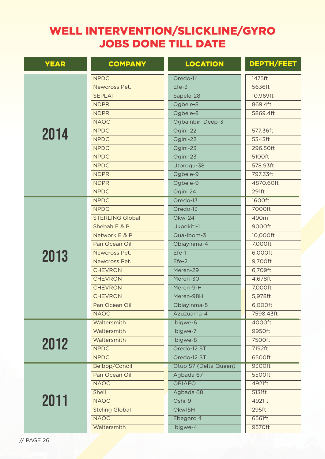| <b>YEAR</b> | <b>COMPANY</b>         | <b>LOCATION</b>       | <b>DEPTH/FEET</b> |
|-------------|------------------------|-----------------------|-------------------|
|             | <b>NPDC</b>            | Oredo-14              | 1475ft            |
|             | Newcross Pet.          | Efe-3                 | 5636ft            |
|             | <b>SEPLAT</b>          | Sapele-28             | 10,969ft          |
|             | <b>NDPR</b>            | Ogbele-8              | 869.4ft           |
|             | <b>NDPR</b>            | Ogbele-8              | 5869.4ft          |
|             | <b>NAOC</b>            | Ogbainbiri Deep-3     |                   |
| 2014        | <b>NPDC</b>            | Ogini-22              | 577.36ft          |
|             | <b>NPDC</b>            | Ogini-22              | 5343ft            |
|             | <b>NPDC</b>            | Ogini-23              | 296.50ft          |
|             | <b>NPDC</b>            | Ogini-23              | 5100ft            |
|             | <b>NPDC</b>            | Utorogu-38            | 578.93ft          |
|             | <b>NDPR</b>            | Ogbele-9              | 797.33ft          |
|             | <b>NDPR</b>            | Ogbele-9              | 4870.60ft         |
|             | <b>NPDC</b>            | Ogini 24              | 291ft             |
|             | <b>NPDC</b>            | Oredo-13              | 1600ft            |
|             | <b>NPDC</b>            | Oredo-13              | 7000ft            |
|             | <b>STERLING Global</b> | Okw-24                | 490m              |
|             | Shebah E & P           | Ukpokiti-1            | 9000ft            |
|             | Network E & P          | Qua-Ibom-3            | 10,000ft          |
|             | Pan Ocean Oil          | Obiayinma-4           | 7,000ft           |
| 2013        | Newcross Pet.          | Efe-1                 | 6,000ft           |
|             | Newcross Pet.          | $Efe-2$               | 9,700ft           |
|             | <b>CHEVRON</b>         | Meren-29              | 6,709ft           |
|             | <b>CHEVRON</b>         | Meren-30              | 4,678ft           |
|             | <b>CHEVRON</b>         | Meren-91H             | 7,000ft           |
|             | <b>CHEVRON</b>         | Meren-98H             | 5,978ft           |
|             | Pan Ocean Oil          | Obiayinma-5           | 6,000ft           |
|             | <b>NAOC</b>            | Azuzuama-4            | 7598.43ft         |
|             | Waltersmith            | Ibigwe-6              | 4000ft            |
|             | Waltersmith            | Ibigwe-7              | 9950ft            |
| 2012        | Waltersmith            | Ibigwe-8              | 7500ft            |
|             | <b>NPDC</b>            | Oredo-12 ST           | 7192ft            |
|             | <b>NPDC</b>            | Oredo-12 ST           | 6500ft            |
|             | Belbop/Conoil          | Otuo S7 (Delta Queen) | 9300ft            |
|             | Pan Ocean Oil          | Agbada 67             | 5500ft            |
|             | <b>NAOC</b>            | <b>OBIAFO</b>         | 4921ft            |
|             | Shell                  | Agbada 68             | 5131ft            |
| 2011        | <b>NAOC</b>            | Oshi-9                | 4921ft            |
|             | <b>Steling Global</b>  | Okw15H                | 295ft             |
|             | <b>NAOC</b>            | Ebegoro 4             | 6561ft            |
|             | Waltersmith            | Ibigwe-4              | 9570ft            |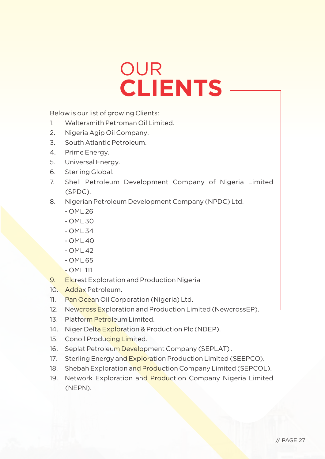# OUR **CLIENTS**

Below is our list of growing Clients:

- 1. Waltersmith Petroman Oil Limited.
- 2. Nigeria Agip Oil Company.
- 3. South Atlantic Petroleum.
- 4. Prime Energy.
- 5. Universal Energy.
- 6. Sterling Global.
- 7. Shell Petroleum Development Company of Nigeria Limited (SPDC).
- 8. Nigerian Petroleum Development Company (NPDC) Ltd.
	- OML 26
	- OML 30
	- OML 34
	- OML 40
	- OML 42
	- $-$  OML 65
	- OML 111
- 9. Elcrest Exploration and Production Nigeria
- 10. Addax Petroleum.
- 11. Pan Ocean Oil Corporation (Nigeria) Ltd.
- 12. Newcross Exploration and Production Limited (NewcrossEP).
- 13. Platform Petroleum Limited.
- 14. Niger Delta Exploration & Production Plc (NDEP).
- 15. Conoil Producing Limited.
- 16. Seplat Petroleum Development Company (SEPLAT).
- 17. Sterling Energy and Exploration Production Limited (SEEPCO).
- 18. Shebah Exploration and Production Company Limited (SEPCOL).
- 19. Network Exploration and Production Company Nigeria Limited (NEPN).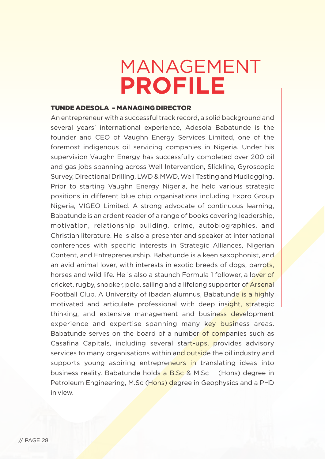# MANAGEMENT **PROFILE**

#### TUNDE ADESOLA – MANAGING DIRECTOR

An entrepreneur with a successful track record, a solid background and several years' international experience, Adesola Babatunde is the founder and CEO of Vaughn Energy Services Limited, one of the foremost indigenous oil servicing companies in Nigeria. Under his supervision Vaughn Energy has successfully completed over 200 oil and gas jobs spanning across Well Intervention, Slickline, Gyroscopic Survey, Directional Drilling, LWD & MWD, Well Testing and Mudlogging. Prior to starting Vaughn Energy Nigeria, he held various strategic positions in different blue chip organisations including Expro Group Nigeria, VIGEO Limited. A strong advocate of continuous learning, Babatunde is an ardent reader of a range of books covering leadership, motivation, relationship building, crime, autobiographies, and Christian literature. He is also a presenter and speaker at international conferences with specific interests in Strategic Alliances, Nigerian Content, and Entrepreneurship. Babatunde is a keen saxophonist, and an avid animal lover, with interests in exotic breeds of dogs, parrots, horses and wild life. He is also a staunch Formula 1 follower, a lover of cricket, rugby, snooker, polo, sailing and a lifelong supporter of Arsenal Football Club. A University of Ibadan alumnus, Babatunde is a highly motivated and articulate professional with deep insight, strategic thinking, and extensive management and business development experience and expertise spanning many key business areas. Babatunde serves on the board of a number of companies such as Casafina Capitals, including several start-ups, provides advisory services to many organisations within and outside the oil industry and supports young aspiring entrepreneurs in translating ideas into business reality. Babatunde holds a B.Sc & M.Sc (Hons) degree in Petroleum Engineering, M.Sc (Hons) degree in Geophysics and a PHD in view.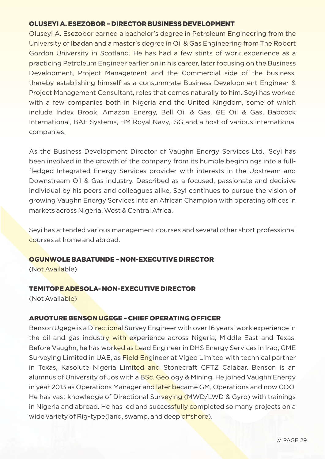### OLUSEYI A. ESEZOBOR – DIRECTOR BUSINESS DEVELOPMENT

Oluseyi A. Esezobor earned a bachelor's degree in Petroleum Engineering from the University of Ibadan and a master's degree in Oil & Gas Engineering from The Robert Gordon University in Scotland. He has had a few stints of work experience as a practicing Petroleum Engineer earlier on in his career, later focusing on the Business Development, Project Management and the Commercial side of the business, thereby establishing himself as a consummate Business Development Engineer & Project Management Consultant, roles that comes naturally to him. Seyi has worked with a few companies both in Nigeria and the United Kingdom, some of which include Index Brook, Amazon Energy, Bell Oil & Gas, GE Oil & Gas, Babcock International, BAE Systems, HM Royal Navy, ISG and a host of various international companies.

As the Business Development Director of Vaughn Energy Services Ltd., Seyi has been involved in the growth of the company from its humble beginnings into a fullfledged Integrated Energy Services provider with interests in the Upstream and Downstream Oil & Gas industry. Described as a focused, passionate and decisive individual by his peers and colleagues alike, Seyi continues to pursue the vision of growing Vaughn Energy Services into an African Champion with operating offices in markets across Nigeria, West & Central Africa.

Seyi has attended various management courses and several other short professional courses at home and abroad.

### OGUNWOLE BABATUNDE – NON-EXECUTIVE DIRECTOR

(Not Available)

### TEMITOPE ADESOLA- NON-EXECUTIVE DIRECTOR

(Not Available)

### ARUOTURE BENSON UGEGE – CHIEF OPERATING OFFICER

Benson Ugege is a Directional Survey Engineer with over 16 years' work experience in the oil and gas industry with experience across Nigeria, Middle East and Texas. Before Vaughn, he has worked as Lead Engineer in DHS Energy Services in Iraq, GME Surveying Limited in UAE, as **Field Engineer at Vigeo Limited with technical partner** in Texas, Kasolute Nigeria Limited and Stonecraft CFTZ Calabar. Benson is an alumnus of University of Jos with a BSc. Geology & Mining. He joined Vaughn Energy in year 2013 as Operations Manager and later became GM, Operations and now COO. He has vast knowledge of Directional Surveying (MWD/LWD & Gyro) with trainings in Nigeria and abroad. He has led and successfully completed so many projects on a wide variety of Rig-type(land, swamp, and deep offshore).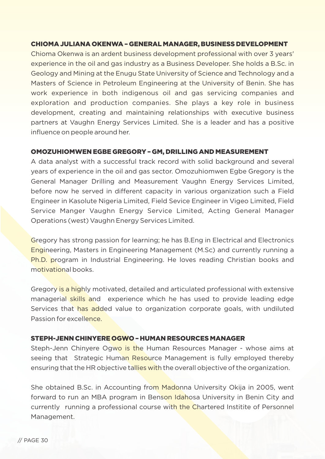### CHIOMA JULIANA OKENWA – GENERAL MANAGER, BUSINESS DEVELOPMENT

Chioma Okenwa is an ardent business development professional with over 3 years' experience in the oil and gas industry as a Business Developer. She holds a B.Sc. in Geology and Mining at the Enugu State University of Science and Technology and a Masters of Science in Petroleum Engineering at the University of Benin. She has work experience in both indigenous oil and gas servicing companies and exploration and production companies. She plays a key role in business development, creating and maintaining relationships with executive business partners at Vaughn Energy Services Limited. She is a leader and has a positive influence on people around her.

### OMOZUHIOMWEN EGBE GREGORY – GM, DRILLING AND MEASUREMENT

A data analyst with a successful track record with solid background and several years of experience in the oil and gas sector. Omozuhiomwen Egbe Gregory is the General Manager Drilling and Measurement Vaughn Energy Services Limited, before now he served in different capacity in various organization such a Field Engineer in Kasolute Nigeria Limited, Field Sevice Engineer in Vigeo Limited, Field Service Manger Vaughn Energy Service Limited, Acting General Manager Operations (west) Vaughn Energy Services Limited.

Gregory has strong passion for learning; he has B.Eng in Electrical and Electronics Engineering, Masters in Engineering Management (M.Sc) and currently running a Ph.D. program in Industrial Engineering. He loves reading Christian books and motivational books.

Gregory is a highly motivated, detailed and articulated professional with extensive managerial skills and experience which he has used to provide leading edge Services that has added value to organization corporate goals, with undiluted Passion for excellence.

### STEPH-JENN CHINYERE OGWO – HUMAN RESOURCES MANAGER

Steph-Jenn Chinyere Ogwo is the Human Resources Manager - whose aims at seeing that Strategic Human Resource Management is fully employed thereby ensuring that the HR objective tallies with the overall objective of the organization.

She obtained B.Sc. in Accounting from Madonna University Okija in 2005, went forward to run an MBA program in Benson Idahosa University in Benin City and currently running a professional course with the Chartered Institite of Personnel Management.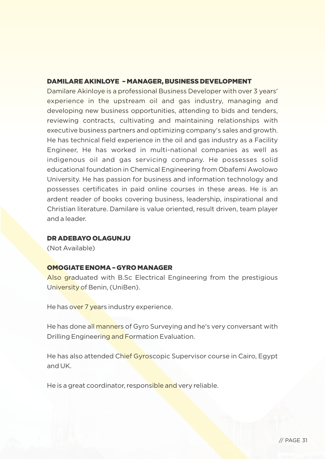### DAMILARE AKINLOYE – MANAGER, BUSINESS DEVELOPMENT

Damilare Akinloye is a professional Business Developer with over 3 years' experience in the upstream oil and gas industry, managing and developing new business opportunities, attending to bids and tenders, reviewing contracts, cultivating and maintaining relationships with executive business partners and optimizing company's sales and growth. He has technical field experience in the oil and gas industry as a Facility Engineer, He has worked in multi-national companies as well as indigenous oil and gas servicing company. He possesses solid educational foundation in Chemical Engineering from Obafemi Awolowo University. He has passion for business and information technology and possesses certificates in paid online courses in these areas. He is an ardent reader of books covering business, leadership, inspirational and Christian literature. Damilare is value oriented, result driven, team player and a leader.

## DR ADEBAYO OLAGUNJU

(Not Available)

## OMOGIATE ENOMA – GYRO MANAGER

Also graduated with B.Sc Electrical Engineering from the prestigious University of Benin, (UniBen).

He has over 7 years industry experience.

He has done all manners of Gyro Surveying and he's very conversant with Drilling Engineering and Formation Evaluation.

He has also attended Chief Gyroscopic Supervisor course in Cairo, Egypt and UK.

He is a great coordinator, responsible and very reliable.